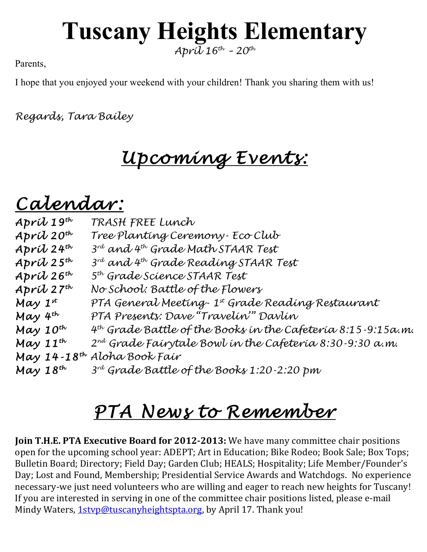## **Tuscany Heights Elementary**

*April 16th – 20th*

Parents,

I hope that you enjoyed your weekend with your children! Thank you sharing them with us!

*Regards, Tara Bailey*

## *Upcoming Events:*

## *Calendar: April 19th TRASH FREE Lunch*

| $April 19^{th}$                         | TRASH FREE Lunch                                                  |
|-----------------------------------------|-------------------------------------------------------------------|
| April 20 <sup>th</sup>                  | Tree Planting Ceremony- Eco Club                                  |
| $April$ 24 <sup>th</sup>                | $3^{rd}$ and 4th Grade Math STAAR Test                            |
| Apríl $25^{th}$                         | 3rd and 4th Grade Reading STAAR Test                              |
| April 26 <sup>th</sup>                  | 5 <sup>th</sup> Grade Science STAAR Test                          |
| $Apr\dot{\mathcal{U}}$ 27 <sup>th</sup> | No School: Battle of the Flowers                                  |
| May $1^{st}$                            | PTA General Meeting- 1st Grade Reading Restaurant                 |
| May 4 <sup>th</sup>                     | PTA Presents: Dave "Travelin" Davlín                              |
| May $10^{th}$                           | $4^{th}$ Grade Battle of the Books in the Cafeteria 8:15-9:15a.m. |
| May $11^{th}$                           | $2^{nd}$ Grade Fairytale Bowl in the Cafeteria 8:30-9:30 a.m.     |
|                                         | May 14-18 <sup>th</sup> Aloha Book Fair                           |
| May $18^{th}$                           | 3 <sup>rd</sup> Grade Battle of the Books 1:20-2:20 pm            |
|                                         |                                                                   |

## *PTA News to Remember*

**Join T.H.E. PTA Executive Board for 2012-2013:** We have many committee chair positions open for the upcoming school year: ADEPT; Art in Education; Bike Rodeo; Book Sale; Box Tops; Bulletin Board; Directory; Field Day; Garden Club; HEALS; Hospitality; Life Member/Founder's Day; Lost and Found, Membership; Presidential Service Awards and Watchdogs. No experience necessary-we just need volunteers who are willing and eager to reach new heights for Tuscany! If you are interested in serving in one of the committee chair positions listed, please e-mail Mindy Waters, 1styp@tuscanyheightspta.org, by April 17. Thank you!